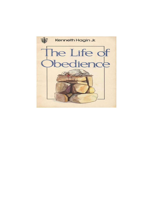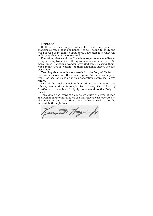#### **Preface**

If there is any subject which has been unpopular in charismatic ranks, it is obedience. Yet as I began to study the Word of God in relation to obedience, I saw that it is really the underlying theme of the entire Bible.

Everything that we do as Christians requires our obedience. Every blessing from God will require obedience on our part. So many times Christians wonder why God isn't blessing them, when really, God is waiting for their obedience before He *can* bless them.

Teaching about obedience is needed in the Body of Christ, so that we can move into the arena of great faith and accomplish what God has for us to do in this generation before the Lord's return.

One of the books which influenced me as I studied this subject, was Andrew Murray's classic book, *The School of Obedience.* It is a book I highly recommend to the Body of Christ.

Throughout the Word of God, as we study the lives of men and women mighty in faith, we see that they always operated *in obedience* to God. And that's what allowed God to do the impossible through them!

aging Kennest,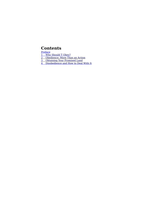# **Contents**

Preface

1 Why Should T Obey?

2 Obedience: More Than an Action 3 Obtaining Your Promised Land

4 Disobedience and How to Deal With It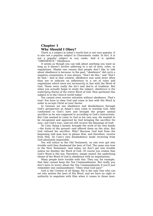## **Chapter 1 Why Should I Obey?**

There is a subject in today's world that is not very popular. It is also not a popular subject in Charismatic ranks. In fact, it is not a popular subject in *any* ranks. And it is spelled, "OBEDIENCE." Obedience.

It seems as though you can talk about anything you want as long as it doesn't involve adhering to a set of laws, rules, or regulations. Maybe one reason that people don't like to talk about obedience is because, in the past, "obedience" did carry a negative connotation; it was always, "Don't do this," and "Don't do that." And in that context, obedience was used more often than not to indicate an adherence to a set of rules and regulations which were not *necessarily* in line with the Word of God. These were really the do's and don'ts of tradition. But when you actually begin to study the subject, *obedience is the underlying theme of the entire Word of God.* How pertinent this subject is to the Church world today!

You cannot even receive salvation without obedience. That's true! You have to obey God and come in line with His Word in order to accept Christ as your Savior.

In Genesis we see obedience and disobedience through God's perspective as Adam's sons came to worship God. Abel conformed to God's laws and brought the proper animal sacrifice as he was supposed to according to God's instructions. But Cain wanted to come to God in his own way. He wanted to be recognized and approved by God bringing the sacrifice *his way*—not God's way—and yet *still receive* the blessings of God!

So Cain, being a farmer, brought the work of his own hands —the fruits of the ground—and offered them on the altar. But God refused his sacrifice. Why? Because God had from the beginning told man how to please Him, and therefore, receive from Him. So Cain's own disobedience made receiving from God absolutely impossible.

You will notice in the Old Testament, no one ever got into trouble until they disobeyed the laws of God. The same was true in the New Testament. And today, we don't get into trouble unless we disobey the Word of God. Of course you realize that God's Word is His law. Therefore, simply stated, the underlying theme of the Word of God is obedience with no negotiations.

Many people have trouble with this. They say, for example, that they cannot keep the Ten Commandments. But really you don't have to worry about the Ten Commandments if you'll just remember one commandment: "Obey what God says!"

God is the Creator of all things. He is the only One who can set into motion the laws of His Word, and we have no right or authority to negotiate with Him when it comes to those laws.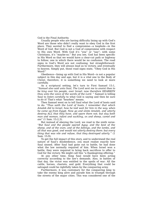God is the Final Authority.

Usually people who are having difficulty lining up with God's Word are those who didn't really want to obey God in the first place. They *wanted* to find a compromise—a loophole—in the Word of God. But God is not a God of compromise with respect to His own Word. With God it's "yea" or "nay"; with some Christians, it's "maybe-so." But you see, God has been specific in His Word so that we would have a clear-cut path or highway to follow; one in which there would be no confusion. The road signs in God's Word are not confusing, but straightforward. Furthermore, they will always lead us to victory, and eventually to heaven. Simply put, those road signs state, "Obey God in His Word!"

Obedience—lining up with God in His Word—is not a popular subject in this day and age, but it is a vital one to the Body of Christ; therefore, it is something we need to look at more carefully.

As a scriptural setting, let's turn to First Samuel 15:1, *"Samuel also said unto Saul, The Lord sent me to anoint thee to be king over his people, over Israel: now therefore HEARKEN thou unto the voice of the words of the Lord. "* Samuel is telling Saul to *listen carefully* to what God is saying and then be sure to *do it!* That's what "hearken" means.

Then Samuel went on to tell Saul what the Lord of hosts said to do: *"Thus saith the Lord of hosts, I remember that which Amalek did to Israel, how he laid wait for him in the way, when he came up from Egypt. Now go and smite Amalek, and utterly destroy ALL that they have, and spare them not; but slay both man and woman, infant and suckling, ox and sheep, camel and ass"* (1 Sam. 15:2,3).

But instead of obeying the Lord, we read in the ninth verse: *"But Saul and the people spared Agag, and the best of the sheep, and of the oxen, and of the fatlings, and the lambs, and all that was good, and would not utterly destroy them: but every thing that was vile and refuse, that they destroyed utterly "* (1 Sam. 15:9).

To get the full impact of this story, and to understand the real nature of Saul's disobedience, you must realize exactly how Saul sinned. After Saul had gone out to battle, he had done what the law normally required of him. When Israel won a battle, they were required to bring back sacrifices to offer to God for the victory. We might call this "a thanksgiving offering."

At any other time, King Saul would have been acting correctly according to the law's demands. Also, in battles of that day, the victor was entitled to the spoils of war: All the cattle, horses, chariots, and gold. Everything that could be salvaged could be rightfully taken by the conquering army.

Furthermore, it was customary for the conquering king to take the enemy king alive and parade him in triumph through the streets of the major cities. This was considered one of the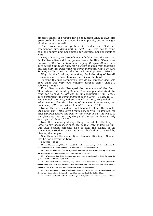greatest tokens of prestige for a conquering king; it gave him great credibility, not just among his own people, but in the sight of other nations as well.

There was only one problem in Saul's case. God had commanded him: *Bring nothing back!* Saul was not to bring back the enemy king, nor animals for sacrifice, nor any spoils of war!

Now, of course, no disobedience is hidden from the Lord. So Saul's disobedience did not go unobserved by Him: *"Then came the word of the Lord unto Samuel, saying, It repenteth me that I have set up Saul to be king: for he is turned back from following me, and hath not performed my commandments. And it grieved Samuel; and he cried unto the Lord all night"* (1 Sam. 15:10,11).

Why did the Lord regret making Saul the king of Israel? Disobedience! He failed to obey the voice of the Lord!

To bring this into perspective, how do you suppose God feels now, when His very own children disobey Him? That's a sobering thought!

First, Saul openly disobeyed the commands of the Lord. Then, when confronted by Samuel, Saul compounded his sin by lying, for he said, "... *Blessed be thou* [Samuel] *of the Lord: I have performed the commandment of the Lord''* (1 Sam. 15:13). But Samuel, the wise, old servant of the Lord, responded, "... *What meaneth then this bleating of the sheep in mine ears, and the lowing of the oxen which I hear?"* (1 Sam. 15:14).

Notice the next incident. Saul began to blame the people. *"And Saul said, THEY have brought them from Amalekites: for THE PEOPLE spared the best of the sheep and of the oxen, to sacrifice unto the Lord thy God; and the rest we have utterly destroyed"* (1 Sam. 15:15).

Now this is a very strange thing, indeed, for the king of Israel to say, because, in fact, *the people were subject to him.* But Saul needed someone else to take the blame, so he conveniently tried to cover his initial disobedience to God by blaming the people.

Saul then lied the second time, strongly affirming to Samuel that he had obeyed the Lord:

**1 SAMUEL 15:17-23**

**17 And Samuel said, When thou wast little in thine own sight, wast thou not made the head of the tribes of Israel, and the Lord anointed thee king over Israel?**

**18 And the Lord sent thee on a journey, and said, Go and utterly destroy the sinners the Amalekites, and fight against them until they be consumed.**

**19 Wherefore then didst thou not obey the voice of the Lord, but didst fly upon the spoil, and didst evil in the sight of the Lord?**

**20 And Saul said unto Samuel, Yea, I have obeyed the voice of the Lord [this is the second time Saul lied], and have gone the way which the Lord sent me, and have brought Agag the king of Amalek, and have utterly destroyed the Amalekites.**

**21 BUT THE PEOPLE took of the spoil, sheep and oxen, the chief of the things which should have been utterly destroyed, to sacrifice unto the Lord thy God in Gilgal.**

**22 And Samuel said, Hath the Lord as great delight in burnt offerings and sacrifices,**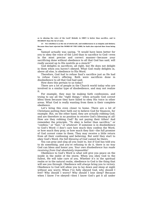**as in obeying the voice of the Lord? Behold, to OBEY is better than sacrifice, and to HEARKEN than the fat of rams.**

**23 For rebellion is as the sin of witchcraft, and stubbornness is as iniquity and idolatry. Because thou hast rejected the WORD OF THE LORD, he hath also rejected thee from being king.**

Samuel actually was saying, "It would have been better for you to obey the voice of the Lord than to sacrifice to God—even in the most precise and correct manner—because your sacrificing done without obedience to all that God has said, will really ascend up to His nostrils as a stench!"

God delights in sacrifices, all right, but He does not delight in them when you haven't obeyed. What God really delights in, above all else, is obedience to His Word.

Therefore, God *had* to refuse Saul's sacrifice just as He had to refuse Cain's offering. Both were sacrifices done in disobedience to all that God had said.

How does this pertain to us today?

There are a lot of people in the Church world today who are involved in a similar type of disobedience, and may not realize it.

For example, they may be making faith confessions, and trying to say all the "right things," when actually God *cannot* bless them because they have failed to obey His voice in other areas. What God is really wanting from them is their complete obedience.

Let's bring this even closer to home. There are a lot of Christians putting their faith out to believe God for finances, for example. But, on the other hand, they are actually robbing God, and are therefore in no position to receive God's blessing at all! How are they robbing God? By not paying their tithes! And remember the principle, "To obey is better than sacrifice," or "confess," or "fast," or *whatever.* If someone is in disobedience to God's Word—I don't care how much they confess the Word, or how much they pray, or how much they fast—the full promise of God *cannot* come to them. They may receive a little return from all their confessing and believing. But until they start to obey God's Word, *the full blessing of God* cannot be theirs.

You can pray and sing all you want to, but if God has told you to do something, and you're refusing to do it, there is no way God can bless and honor you. *Your own disobedience has made receiving from God absolutely impossible!*

Obedience to God's Word is what will give you peace on the inside in the midst of the storm. When you obey God to the fullest, He will take care of you. Whether it's in the spiritual realm or in the natural realm, obedience to God is the thing that will see you through. Obedience will *always* bring you to victory. Obedience to God will allow you to lay down and sleep at night without any worry. When I've fully obeyed God, why should I fret? Why should I worry? Why should I lose sleep? Because when I know I've obeyed—then I know God's got it all under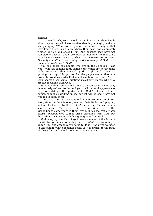#### control!

That may be why some people are still wringing their hands *after* they've prayed, have trouble sleeping at night, and are always crying, "What are we going to do now?" It may be that they know there is an area where they have not completely yielded to God and obeyed Him. And because they have not completely obeyed, God's promises cannot fully be theirs. So they have a reason to worry. They have a reason to be upset. *The only condition to remaining in the blessings of God, is to remain in obedience to God!*

You see, there are people who are in the so-called "faith walk" who are making faith confessions which are never going to be answered. They are talking the "right" talk. They are quoting the "right" Scriptures. And the people around them are probably wondering why God is not meeting their faith. Yet in their hearts these same Christians may know exactly why they are not receiving from God.

It may be that God has told them to do something which they have utterly refused to do. And yet to all outward appearances they are walking in the "perfect will of God." But realize that a person cannot be walking in the perfect will of God if he's not walking in obedience!

There are a lot of Christians today who are going to church every time the door is open, reading their Bibles and praying, and yet it all seems to little avail*—because they themselves are short-circuiting the power of God in their lives.* The disobedience somewhere in their lives nullifies the rest of their efforts. Disobedience cannot bring blessings from God; but disobedience will eventually bring judgment from God.

God is saying specific things to each member of the Body of Christ. And yet many are telling the Lord *what* they are going to do for Him, and *how* they are going to do it. That's why we need to understand what obedience really is. It is crucial to the Body of Christ for the day and the hour in which we live.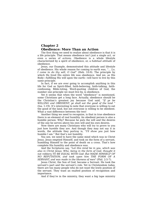#### **Chapter 2 Obedience: More Than an Action**

The first thing we need to realize about obedience is that it is a life principle. That means obedience isn't just a single *act,* or even a series of *actions.* Obedience is a whole lifestyle characterized by a spirit of obedience, or, a *habitual attitude* of obedience.

Jesus, our Example, demonstrated this attitude and lifestyle of obedience. His whole reason for coming to earth was, "... *Lo, I come to do thy will, O God"* (Heb. 10:9). The principle by which He lived His entire life was obedience. And we, as His Body—fulfilling His will upon the earth—will have to live by this same principle.

In fact, if we are ever going to accomplish anything in this life for God as Spirit-filled, faith-believing, faith-talking, faithconfessing, Bible-toting, Word-quoting children of God, the number one principle we must live by, is obedience.

Yet it seems that when the word "obedience" is mentioned, some Christians get a long face. Actually, obedience should be the Christian's greatest joy because God said, *"If ye be WILLING and OBEDIENT, ye shall eat the good of the land "* (Isa. 1:19). It's interesting to note that everyone is willing to eat the good of the land, but not everyone is willing to be obedient. What a vast difference between the two!

Another thing we need to recognize, is that in true obedience there is an element of real humility. An obedient person is also a humble person. Why? Because he puts the will and the desires of the one he serves above his own will and his own desires.

Now there are many Christians who will try to prove to you just how *humble* they are. And though they may not say it in words, the attitude they portray is, *"I'll show you* just how humble I am." But that's not humility.

You see, we need to have the same mind which was in Christ Jesus. Jesus emptied Himself, and took on the form of a servant, humbling Himself to the point of death on a cross. That's how complete His humility and obedience was.

And the Scriptures say, *"Let this mind be in you, which was also in Christ Jesus: Who, being in the form of God, thought it not robbery TO BE EQUAL WITH God: But MADE HIMSELF OF NO REPUTATION, and took upon him THE FORM OF A SERVANT, and was made in the likeness of men"* (Phil. 2:5-7).

Jesus Christ, the Son of God, became a Servant. He took the servant's part and the servant's role. Yet in Christendom today, there are too many people who do not want the lowly position of the servant. They want an exalted position of recognition and importance.

And if they're in the ministry, they want a big tape ministry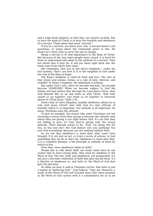and a huge book ministry, so that they can receive acclaim. But to have the mind of Christ is to have the humility and obedience of a servant. Think about that word "servant."

If you're a servant, you know your role. A servant doesn't ask questions, or argue about the commands given to him. He knows he's there only to serve the one in charge.

Being a servant is of vital importance to the Body of Christ. But because of the way some people were raised, it is hard for them to understand and adapt to the attitude of a servant. They are afraid that if they do, it will put them right back into the lowly state from which they came.

But remember, that was in the devil's kingdom— under his evil tyranny. That's not how it is in the kingdom of God under the rule of the King of kings.

The King's kingdom is ruled by faith and love. The rule of that tyrant and enemy—Satan—is a rule of hate, distrust, and unbelief. In Satan's kingdom, the individual is nothing.

But under God's rule, when we become servants, *we actually become SOMEONE!* When we become subject to God the Father and bow before Him through the Lord Jesus Christ, then God Himself lifts us up and seats us with Christ. *"And hath raised us up together, and made us sit together in heavenly places in Christ Jesus"* (Eph. 2:6).

Notice that in God's kingdom, humble obedience allows us to rule with Jesus Christ! And with God it's that *attitude* of humility which is so important. Our attitude is *all* important. So many Christians miss the *attitude.*

To give an example, the reason why some Christians are not receiving a return from their giving is because the attitude with which they are giving is not right before God. It's not that they are failing to give; it's that they're giving with the *wrong* attitude. Their attitude seems to be, "God, I'm doing this for You, so You owe me!" But God doesn't owe you anything! *You owe* God everything! Because you are nothing without Him!

So we see that obedience is more than what some have thought. It is not just an act, or even a series of actions, or just something that we do or don't do. Obedience is more than that. It is a complete lifestyle; a life principle or attitude of heart by which to live.

How, then, does obedience relate to faith?

People like to talk about faith, yet many times they do not realize that to have strong faith, they must be obedient to the Word of God. The two, faith and obedience, are inseparable. It's not just a one-time confession of faith that gets the job done; it's a lifestyle of obedience to, and faith in, the Word of God that gets the job done.

So often we hear it said in Christian circles, that faith is just a matter of "believing God." "Just believe," they say. However, a study of the Word of God will actually show that every promise in the Word of God carries with it a commitment for *us* to do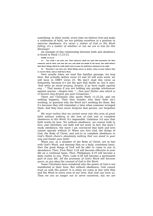something. In other words, every time we *believe* God and make a confession of faith, we are putting ourselves in a position to exercise obedience. *It's never a matter of God or His Word failing; it's a matter of whether or not we are in line for His blessings!*

An example of this relationship between faith and obedience is found in Mark 11:23-25.

**MARK 11:23,24**

**23 For verily I say unto you, That whosever shall say unto this mountain, Be thou removed, and be thou cast into the sea; and shall not doubt in his heart, but shall believe that those things which he saith shall come to pass; he shall have whatsoever he saith.**

**24 Therefore I say unto you, What things soever ye desire, when ye pray, believe that ye receive them, and ye shall have them.**

Now usually when we read this familiar passage, we stop here. But actually, before verse 23 and 24 will even work, we will have to OBEY verse 25. We don't read this verse as frequently, because it's not the part that thrills us, but it says: *"And when ye stand praying, forgive, if ye have ought against any*...." That means if you are holding any grudge *whatsoever* against anyone —forgive him, "... *that your Father also which is in heaven may forgive you your trespasses. "*

There are Christians who quote Mark 11:23,24, and yet nothing happens. Then they wonder why their faith isn't working, or question why the Word isn't working for them. But it's because they still remember a time when someone wronged them. And they have never forgiven that person, nor forgotten it!

*We must realize that we cannot move into this area of great faith without walking in the love of God and in complete obedience to His Word.* It's impossible. Galatians 5:6 says that faith works by love. Yet without obedience, we cannot walk in love, and, therefore, our faith will not work. In fact, the more I study obedience, the more I am convinced that faith and love cannot operate without it! When you love God, the things of God, the Body of Christ, and you're in complete obedience to God's Word—*there's absolutely nothing that can stand in your way and hinder your faith!*

When you, as a member of the Body of Christ, are in line with God's Word, and obeying Him on a daily, consistent basis, *then* the good things of God will be able to come to you in abundance. *Then,* First Peter 2:24 will become effective in your life on a continual basis. *Then,* Philippians 4:19 will become a daily reality to you. *Then,* Luke 6:38 will become a permanent part of your life. *All the promises of God's Word will become yours, as you obey the counsel of God in His Word.*

Some Christians have wondered why the power of God is not manifested in their lives. But without obedience, God cannot trust us with His power! It is when we come in line with Him and His Word in every area of our lives, that God can trust us. Then we are no longer out to serve ourselves, but we are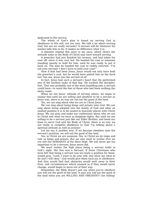dedicated to His service.

The whole of God's plan is based on serving God in obedience to *His will,* not our own. We talk a lot about serving God, but are we really servants? A servant will do whatever his master tells him to do: It makes no difference what it is.

A minister related this story to me once, which shows the attitude some in the Body of Christ may have toward serving.

A preacher had just finished his sermon, and had taken his coat off, since it was very hot. He handed his coat to someone standing nearby to hold for him, until he was ready to put it back on. The man he handed the coat to rudely retorted, "I'm not your servant! I don't have to hold your coat!"

Now if that had been Jesus, Jesus would not only have held the preacher's coat, but he would have patted him on the back too! You see, Jesus was the servant of *all.*

In fact, Jesus had such a servant's heart that He performed one of the lowliest tasks of that day: He washed His disciples' feet. That was probably one of the most humbling jobs a servant could have—to wash the feet of those who had been walking the dusty roads.

When we see Jesus' attitude of serving others, we begin to realize that until we are *willing* and *obedient* to be a servant as Jesus was, there is no way we can eat the good of the land.

Yes, we can sing about who we are in Christ Jesus.

We can sing about being kings and priests unto God. We can sing about being adopted into the family of God and what an exalted position it is to be seated in heavenly places with Christ Jesus. We can pray and make our confessions about who we are in Christ and what we have as kingdom rights. But until we are willing to be a servant just like our Elder Brother, and bend our knee to serve God and the Body of Christ, there is no way we are really in complete obedience to God. I'm talking about a spiritual attitude as well as actions!

Let me say it another way: If we become obedient unto the servant's position, we *will* eat the good of the land.

Yes, in Christ we are someone. Yes, in Christ we do reign and rule as kings and priests. *But we also need to realize that we are still the SERVANTS of the Most High.* We will never get too important to be a servant; Jesus never did.

We must realize the high place being a servant holds in God's sight. His Son was a Servant. If those Christians who have felt that being a servant was too lowly a position for them, would pray, "Lord, I want to do your will; just show me what to do and I will obey," God would give them such joy in obedience. And they would find that obstacles would melt away in their lives, and circumstances which seemed as if they would never change, would begin to move out of their way.

Remember, the Bible doesn't just say when you're *obedient* you will eat the good of the land. It says you will eat the good of the land when you are WILLING AND OBEDIENT! Get willing!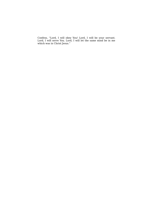Confess, "Lord, I will obey You! Lord, I will be your servant. Lord, I will serve You. Lord, I will let the same mind be in me which was in Christ Jesus."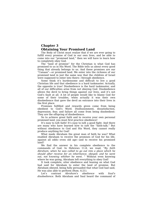#### **Chapter 3 Obtaining Your Promised Land**

The Body of Christ must realize that if we are ever going to fulfill every promise of God in our own lives, and be able to come into our "promised land," then we will have to learn how to completely obey God.

The "land of promise" for the Christian is what God has promised to us in His Word. The Bible tells us about every good thing that already belongs to us. And these promises are our "Canaan"—or promised land. We enter into the richness of our promised land in just the same way that the children of Israel were supposed to enter into theirs—through obedience.

Some think it's burdensome and difficult to live a good Christian life and that obedience is a hard taskmaster. Actually, the opposite is true! Disobedience is the hard taskmaster, and all of our difficulties arise from *not* obeying God. Disobedience allows the devil to bring things against our lives, and it's not God's fault at all. A lot of people would like to blame God for some of their troubles, when actually it was their own disobedience that gave the devil an entrance into their lives in the first place.

Promises fulfilled and rewards given come from being obedient to God's Word. Disillusionment, dissatisfaction, depression, fear, and failure all come from being disobedient: They are the offspring of disobedience.

So to achieve great faith and to receive your own personal promised land, you must first practice obedience!

It's easy to *talk* faith! It's easy to *talk* a good fight. And there are many who have learned how to *talk* the "faith-talk." But without obedience to God and His Word, they cannot really produce anything for God!

What made Abraham the great man of faith he was? What enabled Abraham to receive the promises of God for his life, against all odds—even old age—and to receive his promised land?

We find the answer in his complete obedience to the commands of God. In Hebrews 11:8, we read, *"By faith Abraham, when he was called to go out into a place which he should after receive for an inheritance, obeyed; and he went out, not knowing whither he went.* " Without even knowing where he was going, Abraham left everything to obey God!

It took complete, utter obedience and leaning on what God had said for Abraham to enter the land of promise. But Abraham obeyed, being fully persuaded that what God had said, He was also able to perform (Rom. 4:21).

Let's contrast *Abraham's obedience* with *Saul's disobedience.* Both Abraham and Saul heard the command of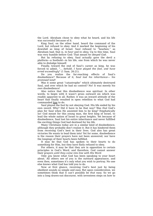the Lord. Abraham chose to obey what he heard, and his life was successful because of it.

King Saul, on the other hand, heard the command of the Lord, but refused to obey. And it marked the beginning of his downfall as king of Israel. Saul refused to "hearken," as Abraham had; that is, *to hear* and *to obey.* Up to this time, Saul was very humble before God: That meant *he obeyed God.*

But by refusing to obey, Saul actually gave the devil a platform—a foothold—in his life, one from which he was never able to dislodge himself.

Finally, toward the end of Saul's career as king, he was forced to admit, "... *behold, I have played the fool, and have erred exceedingly"* (1 Sam. 26:21).

Do you realize the far-reaching effects of Saul's disobedience? Because of it, *Saul lost his inheritance*— *his promised land!*

Was it some great "catastrophe" which ultimately destroyed Saul, and over which he had no control? No! It was merely *his own* disobedience!

Also notice that this disobedience was spiritual. In other words, to begin with it wasn't gross outward sin which was readily apparent to all. Rather, it was an inward attitude of the heart that finally resulted in open rebellion to what God had commanded him to do.

Saul played the fool by not obeying God. His life ended by his own sword. Why? Did it have to be that way? Was *that* God's plan for Saul when He anointed him to be king? Emphatically no! God meant for this young man, the first king of Israel, to lead the whole nation of Israel to great heights. Yet because of disobedience, Saul lost his entire inheritance and never fulfilled the exciting things God had destined for his life.

Many Christians today are in a similar kind of disobedience, although they probably don't realize it. But it has hindered them from receiving God's best in their lives. God also has great victories He wants to lead them into! Yet for some, disobedience is the reason their prayers have not been answered, nor have the longings of their hearts been fulfilled.

It may be that God has spoken to their hearts to do something for Him, but they have flatly refused to obey.

For others, it may be that they are in opposition to certain principles in God's Word, and therefore, God cannot answer their prayers *until they come into line with His Word.*

Only *you* know what God has been speaking to your heart about. All others see of you is the outward appearance, and even then, sometimes it's only what you wish to portray. No one else knows what God has told you to do.

Now at first glance, receiving God's best just by being obedient sounds so simple and easy. But upon consideration, we sometimes think that it can't possibly be *that* easy. So we go into a long drawn-out discourse, with seventeen steps on how to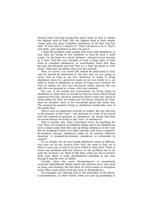receive from God and twenty-five more steps on how to obtain the highest kind of faith. But the highest kind of faith simply comes with one step: Complete obedience to all that God has said. "If God said it, I believe it!" That's all there is to it. That's real faith—and obedience is how you get it!

I think the problem some people may have with obedience, is that they are trying to live obedient to God on such a wide scope—on the basis of a whole lifetime— instead of just one day at a time. And the very thought of such a huge span of time lived in complete obedience, so overwhelms them that they become discouraged and feel that it's a feat too great to ever attain. They give up before they ever get started!

Now, of course, our entire life should be dedicated to God, and we should be dedicated to the fact that we are going to serve God as long as we live. However, in order to bring obedience down to a practical realm so we can relate to it, we need to think of obedience in terms of living each *moment* for God. In reality, we can't live the future today, anyway. We can only live one moment at a time*—this* very moment.

You see, if we would just concentrate on living *today* in obedience to God, then we would not have to worry about living tomorrow for God—because tomorrow hasn't come yet. And if in living *today* for God, we would just live every *moment* for Him, then we wouldn't have to be concerned about the whole day. The moment-by-moment living in obedience would take care of the whole day!

This is such an important concept to realize. We can only live in the present, in the "now"—one moment at a time. If we would just live moment-to-moment in obedience, we would find that we would always be living in the "now" of obedience!

This is exactly why some Christians never do anything for God. They are trying to accomplish things and to be obedient on such a large scope that they end up doing nothing at all for God. But by bringing it down to a daily concept, and even a momentby-moment concept, obedience takes on an entirely different meaning. A moment-by-moment obedience is attainable to anyone!

It's so simple. Yet we have made obedience seem so difficult. *Any time we do not receive from God, we need to find out if there is any area in which we have failed to obey God.* There is never any problem with the Source; so the problem has to be with the receiver—us. Most of the time, when we fail to receive from God, there is some disobedience standing in the way, though it may be ever so subtle.

Usually, when the word "disobedience" is mentioned, everyone immediately thinks about the obvious overt sins such as lying, and stealing. But the Body of Christ needs to recognize some other areas which God also sees as disobedience.

For example, not obeying God in the principles of His Word, is disobedience. In other words, when you get up grumbling in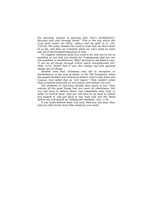the morning, instead of praising God, *that's disobedience.* Because God said through David, *"This is the day which the Lord hath made; we WILL rejoice and be glad* in it" (Ps. 118:24). We really disobey the Lord in ways that *we* don't think of as sin, and then we complain when we can't seem to come into all of the bountiful blessings of God.

Or, suppose someone gives you a job to do, and you're not as qualified as you feel you should be. Complaining that you are not qualified, *is disobedience.* Why? Because in my Bible it says, *"I can do all things through Christ which strengtheneth me"* (Phil. 4:13). Notice that it says ALL things—not just spiritual things, but *all* things.

Another area that Christians may fail to recognize as disobedience, is the area of doubt. In the Old Testament, when the people doubted and refused to believe God to take them into Canaan, God called that an "evil report." They couldn't enter their promised land with an evil report, and neither can you!

The promises of God have already been given to you. They contain all the good things that are yours by inheritance. But you will have to believe them, and completely obey God, in order to receive them. And you will have to go back to where you missed it, and get back in line with God and His Word before you will qualify as "willing and obedient" (Isa. 1:19).

If you really believe what God said, then you will obey Him. And you will receive from Him whatever you need!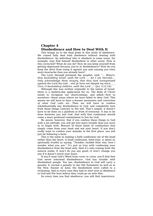#### **Chapter 4 Disobedience and How to Deal With It**

This brings us to the final point in this study of obedience. We cannot fully deal with obedience without dealing with disobedience. An individual who is obedient in some areas, for example, may find himself disobedient in other areas. How is this corrected? What do you do? How do you keep yourself from getting depressed because you're in disobedience? How do you keep the devil from using it against you and causing you even more heartache than you already have?

The Lord, through Jeremiah the prophet, said, "... *Return, thou backsliding Israel, saith the Lord .* .. *for I am merciful.... Only acknowledge thine iniquity, that thou hast transgressed against the Lord thy God... and ye have not obeyed my voice*\_\_\_\_ *Turn, O backsliding children, saith the Lord* ..." (Jer. 3:12-14).

Although this was written originally to the nation of Israel, there is a modern-day application for us. The Body of Christ needs to recognize our shortcomings, and admit—first to ourselves—those areas where we have failed to obey God. This means we will have to have a keener awareness and conviction *of what God calls sin.* Then we will have to confess wholeheartedly any disobedience to God, and completely turn from those things contrary to His will. That's simple; it doesn't have to be done on a platform in front of everyone. It has to be done between you and God. And with that confession should come a more profound commitment to live for God.

Be aware, however, that if you confess these things to God with a lax attitude, you will get into more trouble than you were in to begin with. Beware of those kinds of confessions that simply come from your head and not your heart. If you don't really want to confess your mistake in the first place, you will just be following a form.

This is the same as making a faith confession out of the head rather than the heart. A head confession, faith-wise, is about as spiritually fruitful as saying, "Twinkle, twinkle little star; how I wonder what you are." It's just as true with confessing your disobedience from the head only; then it's only coming from the natural realm. It won't do you any good—it won't change you any if it doesn't touch your heart.

If you'll read God's Word from cover to cover, you'll find that God never tolerated disobedience. God has trouble with disobedient people. You see, disobedience to God will carry a penalty. It carried a penalty in the Old Testament as well as in the New. Sooner or later, the disobedient were called to a reckoning. And in every case they had to start over in obedience to God and His laws before they could go on with Him.

So every time you find *obedience,* you will find *repentance.*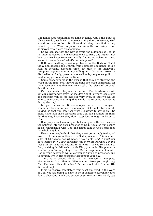Obedience and repentance go hand in hand. And if the Body of Christ would just learn to correct and judge themselves, God would not have to do it. But if we don't obey, then God is duty bound by His Word to judge us. Actually, *we bring it on ourselves* by our own disobedience.

So we can see that the way to avoid the judgment of God, is to judge ourselves in our disobedience to Him, and repent. But how can we keep from continually finding ourselves in these areas of disobedience? What's our safeguard?

If there's anything causing problems in the Body of Christ today and keeping the Church from complete obedience, it is a lack of personal devotion time. Yet this is the believer's safeguard against continually falling into the same areas of disobedience. Sadly, preachers as well as laypeople are guilty of neglecting personal devotion time.

Some preachers make the excuse that they are studying the Word all the time. Yes, they're studying the Word continually for their sermons. But that can never take the place of personal devotion time.

Our day needs to begin with the Lord. That is where we will get our power and victory for the day. And it is where God's love and strength will be fed into our very lives, so that we will be able to overcome anything that would try to come against us during the day!

In your devotion time*—dialogue* with God. Complete communication is not just a monologue. Get quiet after you talk to God, so that you can hear what *He* wants to say to you. So many Christians miss blessings that God had planned for them for that day, because they don't stop long enough to listen to Him!

Real prayer (not monologue, but dialogue with God), ushers the believer into the very presence of God. It makes him secure in his relationship with God and keeps him in God's presence the whole day long.

Now some people think that they must get a tingly feeling all over to let them know they are in God's presence. This is where a lot of Christians get whipped. They think, *Well, I must not have gotten into God's presence this morning because I didn't feel a thing.* That has nothing to do with it! If you're a child of God, walking in fellowship with Him, you're in His presence whether you feel anything or not. But a deep communion with God in your devotions will allow you to *know* His presence, and to actually live in His presence throughout your day.

There is a second thing that is involved in complete obedience to God: That is Bible reading. Now you might say, "Oh, I've heard this all before." But let's look at it from a little different angle.

First, to receive completely from what you read in the Word of God, you are going to have to be in complete surrender each day to obey God. Each day as you begin to study His Word, say,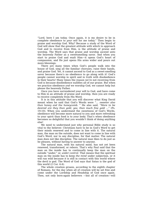"Lord, here I am today. Once again, it is my desire to be in complete obedience to *your will* for me today." Then begin to praise and worship God. Why? Because a study of the Word of God will show that the greatest attitude with which to approach God and to receive from Him, is the attitude of praise and worship. The Word says that praise and worship ascend unto the heavenly Father as a sweetsmelling savor. And when you start to praise God and exalt Him—it opens God's heart of compassion, and He just opens His arms wider and pours out more blessings.

There are many times when God's people walk into the house of God, sing all the familiar choruses, raise their hands, and praise God. Yet, it cannot ascend to God as a sweet-smelling savor because there's no obedience to go along with it! God's people cannot worship in spirit and in truth with disobedience in their hearts! Many times the reason we're not receiving from God is because disobedience nullifies all of our praise. But when we practice obedience *and* we worship God, we cannot help but please the heavenly Father.

Once you have surrendered your will to God, and have come to Him in an attitude of praise and worship, then you are ready to receive completely from His Word.

It is in this attitude that you will discover what King David meant when he said that God's Words were "... *sweeter also than honey and the honeycomb. "* He also said, *"More to be desired are they than gold, yea, than much fine gold* ..." (Ps. 19:10). When you understand the sweetness of God's Words, obedience will become more natural to you and more refreshing to your spirit than food is to your body. That's when obedience becomes so delightful that you wouldn't think of doing anything else!

We need to understand just why personal Bible study is so vital to the believer. Christians have to be in God's Word to get their minds renewed and to come in line with it. The natural man, the man on the outside, does not want to come in line with God's Word, nor to any discipline, for that matter. The natural man does not like discipline. The natural man likes to do just as he pleases, without having to answer to anyone.

The natural man, with his natural mind, has not yet been renewed, transformed, or reborn. That's why Paul said that the man on the inside has to continually keep the man on the outside "under," or, *under control.* That means that the spiritual man on the inside has to keep *the mind* under subjection, or it will run wild because *it* is still in contact with this world where the devil is god. The Word of God says that Satan is the god of this world (2 Cor. 4:4).

The whole creation groans, according to the eighth chapter of Romans, for the day when all of creation will be set free and come under the Lordship and Headship of God once again. Then, not only born-again believers —but all of creation—will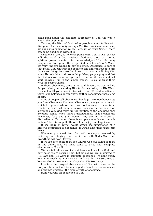come back under the complete supremacy of God, the way it was in the beginning.

You see, the Word of God makes people come into line with discipline. *And it is only through the Word that man can bring his mind into subjection to the Lordship of Jesus Christ.* There can be no obedience without it!

Obedience, then, is fellowshipping with God in His perfect will—the Word of God. Without obedience there can be no spiritual power to enter into the knowledge of God. So many people want to tap into the deep, hidden riches of God's Word. Yet very few are willing to pay the price. Obedience is part of that price. God can trust the obedient one and can reveal to him the secret things because God knows that person will obey Him when He tells him to do something. Many people pray and fast for God to show them rich spiritual truths; yet if they would just start obeying Him in the simple things, He could trust them with the secret things.

Without obedience, there is no confidence that God will do for you what you're asking Him to do. According to His Word, He can't until you come in line with Him. Without obedience, there is no boldness on your part. Without obedience there is no liberty.

A lot of people call obedience "bondage." No, obedience sets you free. Obedience liberates. Obedience gives you an arena in which to operate where there are no hindrances; there is no wondering what will happen to you, because the power of God surrounds you. God takes up the petition of the obedient one! Bondage comes when there's disobedience. That's when the heaviness, fear, and guilt come. They are in the arena of disobedience. But when there is complete obedience, there is no fear. There is no guilt. There is liberty, joy, and happiness.

If the Body of Christ would grasp the importance of a lifestyle committed to obedience, it would absolutely transform lives!

Whatever you need from God will be simply received by believing and obeying Him. Get in line with God's Word and everything will work for you!

If we are ever going to be the Church God has called us to be in this generation, we must come to grips with complete obedience to His will.

We can talk all we want about how much we love God, and how much we're serving Him, but unless we are submitted to His laws and His Word in complete obedience, we don't really love Him nearly as much as we think we do. The true test of love for God is how much we obey what His Word says!

I believe the unspeakable riches of God will come to the Body of Christ and will become a part of our lives, as we learn and put into practice—the simple truth of obedience.

Build your life on obedience to God!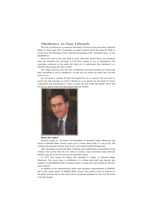## **Obedience As Your Lifestyle**

*The Life of Obedience* is a book for the Body of Christ in this generation. Kenneth Hagin Jr. states that there is perhaps no single element which has kept the Body of Christ from the blessings of God, and from possessing their "promised land," as has disobedience.

Have you tried to get your faith to work with little result? Have you wondered what has hindered the blessings of God from coming to you in abundance? The teachings contained in this book will help you to understand that obedience is a lifestyle which opens the door to faith.

Rev. Hagin shares in the *The Life of Obedience* practical insights on living a life fully committed to God in obedience, so that you can attain the goals that God has given to you.

Do you want to achieve all that God meant for you to achieve? Do you want to reach your full potential in Christ? Obedience is an answer for the Body of Christ, corporately and individually, in order to reach the full scope and height which God has for us; and to reach this generation with the Gospel!



#### **About the Author**

Kenneth Hagin Jr., Executive Vice-President of Kenneth Hagin Ministries and Pastor of RHEMA Bible Church, grew up in a home where faith is a way of life. His writing and personal ministry stem from a rich and diversified background.

After attending Canyonville Bible Academy and Southwestern Assemblies of God College, Ken served with the U.S. Army in Taiwan. Upon returning home after his military duty, he served six years as an associate pastor.

In 1972, Ken joined his father, Rev. Kenneth E. Hagin, at Kenneth Hagin Ministries. Two years later, in fulfillment of a dream they both had shared, Ken helped to found RHEMA Bible Training Center to equip men and women for the fulltime ministry.

In addition to his administrative duties and teaching responsibilities at RHEMA, Ken is also senior pastor of RHEMA Bible Church. His pastor's heart is reflected in his pulpit ministry and in the many church programs designed to care for the needs of all age groups.